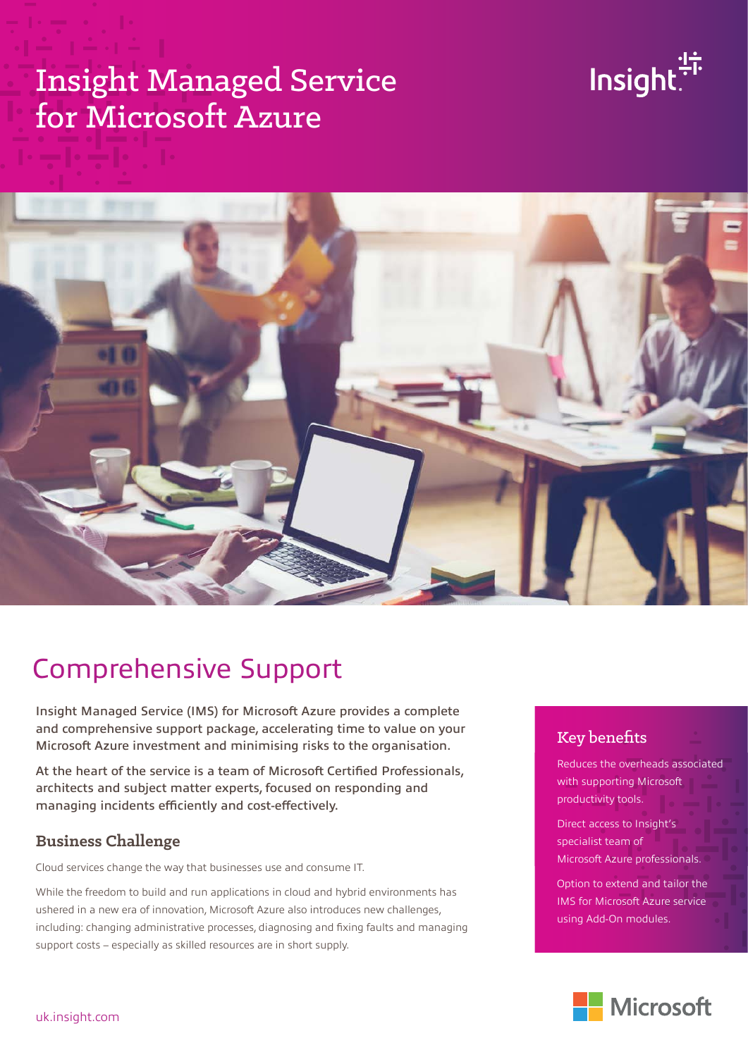# Insight Managed Service for Microsoft Azure





# Comprehensive Support

Insight Managed Service (IMS) for Microsoft Azure provides a complete and comprehensive support package, accelerating time to value on your Microsoft Azure investment and minimising risks to the organisation.

At the heart of the service is a team of Microsoft Certified Professionals, architects and subject matter experts, focused on responding and managing incidents efficiently and cost-effectively.

#### **Business Challenge**

Cloud services change the way that businesses use and consume IT.

While the freedom to build and run applications in cloud and hybrid environments has ushered in a new era of innovation, Microsoft Azure also introduces new challenges, including: changing administrative processes, diagnosing and fixing faults and managing support costs – especially as skilled resources are in short supply.

### Key benefits

weddees the overriedds dssoel<br>with supporting Microsoft productivity tools. Reduces the overheads associated

Direct access to Insight's specialist team of Microsoft Azure professionals.

Option to extend and tailor the IMS for Microsoft Azure service using Add-On modules.